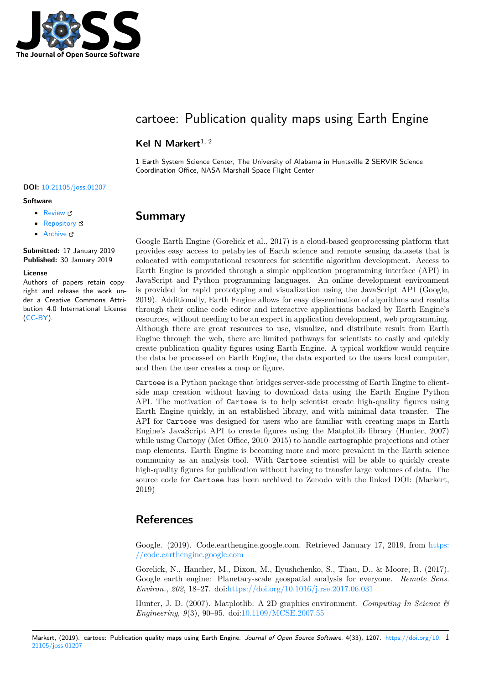

# cartoee: Publication quality maps using Earth Engine

### Kel N Markert<sup>1, 2</sup>

**1** Earth System Science Center, The University of Alabama in Huntsville **2** SERVIR Science Coordination Office, NASA Marshall Space Flight Center

#### **DOI:** 10.21105/joss.01207

#### **Software**

- Review L'
- [Repository](https://doi.org/10.21105/joss.01207) &
- Archive

**Subm[itted:](https://github.com/openjournals/joss-reviews/issues/1207)** 17 January 2019 **Published:** [30 Ja](https://github.com/kmarkert/cartoee)nuary 2019

#### **Licen[se](https://doi.org/10.5281/zenodo.2552811)**

Authors of papers retain copyright and release the work under a Creative Commons Attribution 4.0 International License (CC-BY).

## **Summary**

Google Earth Engine (Gorelick et al., 2017) is a cloud-based geoprocessing platform that provides easy access to petabytes of Earth science and remote sensing datasets that is colocated with computational resources for scientific algorithm development. Access to Earth Engine is provided through a simple application programming interface (API) in JavaScript and Python programming languages. An online development environment is provided for rapid prototyping and visualization using the JavaScript API (Google, 2019). Additionally, Earth Engine allows for easy dissemination of algorithms and results through their online code editor and interactive applications backed by Earth Engine's resources, without needing to be an expert in application development, web programming. Although there are great resources to use, visualize, and distribute result from Earth Engine through the web, there are limited pathways for scientists to easily and quickly create publication quality figures using Earth Engine. A typical workflow would require the data be processed on Earth Engine, the data exported to the users local computer, and then the user creates a map or figure.

Cartoee is a Python package that bridges server-side processing of Earth Engine to clientside map creation without having to download data using the Earth Engine Python API. The motivation of Cartoee is to help scientist create high-quality figures using Earth Engine quickly, in an established library, and with minimal data transfer. The API for Cartoee was designed for users who are familiar with creating maps in Earth Engine's JavaScript API to create figures using the Matplotlib library (Hunter, 2007) while using Cartopy (Met Office, 2010–2015) to handle cartographic projections and other map elements. Earth Engine is becoming more and more prevalent in the Earth science community as an analysis tool. With Cartoee scientist will be able to quickly create high-quality figures for publication without having to transfer large volumes of data. The source code for Cartoee has been archived to Zenodo with the linked DOI: (Markert, 2019)

### **References**

Google. (2019). Code.earthengine.google.com. Retrieved January 17, 2019, from https: //code.earthengine.google.com

Gorelick, N., Hancher, M., Dixon, M., Ilyushchenko, S., Thau, D., & Moore, R. (2017). Google earth engine: Planetary-scale geospatial analysis for everyone. *Remote [Sens.](https://code.earthengine.google.com) Environ.*, *202*[, 18–27. doi:https](https://code.earthengine.google.com)://doi.org/10.1016/j.rse.2017.06.031

Hunter, J. D. (2007). Matplotlib: A 2D graphics environment. *Computing In Science & Engineering*, *9*(3), 90–95. doi:10.1109/MCSE.2007.55